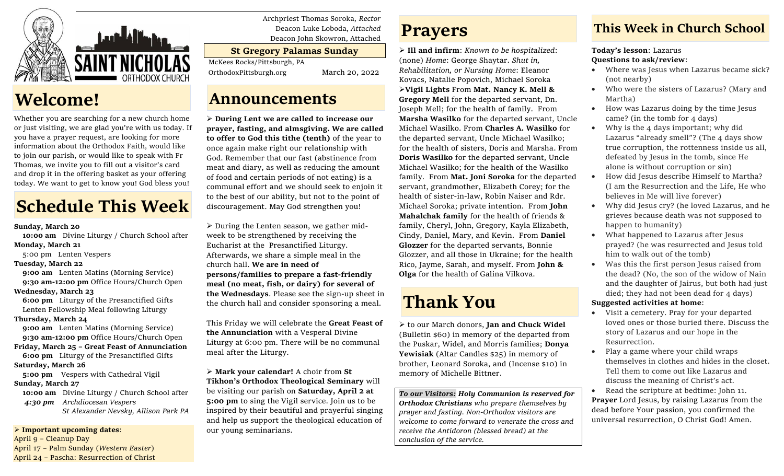

# **Welcome!**

Whether you are searching for a new church home or just visiting, we are glad you're with us today. If you have a prayer request, are looking for more information about the Orthodox Faith, would like to join our parish, or would like to speak with Fr Thomas, we invite you to fill out a visitor's card and drop it in the offering basket as your offering today. We want to get to know you! God bless you!

# **Schedule This Week**

### **Sunday, March 20**

 **10:00 am** Divine Liturgy / Church School after **Monday, March 21**

- 5:00 pm Lenten Vespers
- **Tuesday, March 22**

**9:00 am** Lenten Matins (Morning Service) **9:30 am-12:00 pm** Office Hours/Church Open

### **Wednesday, March 23**

 **6:00 pm** Liturgy of the Presanctified Gifts Lenten Fellowship Meal following Liturgy

### **Thursday, March 24**

**9:00 am** Lenten Matins (Morning Service) **9:30 am-12:00 pm** Office Hours/Church Open **Friday, March 25 – Great Feast of Annunciation**

**6:00 pm** Liturgy of the Presanctified Gifts

### **Saturday, March 26**

 **5:00 pm** Vespers with Cathedral Vigil **Sunday, March 27**

 **10:00 am** Divine Liturgy / Church School after  *4:30 pm Archdiocesan Vespers St Alexander Nevsky, Allison Park PA*

➢ **Important upcoming dates**:

April 9 – Cleanup Day April 17 – Palm Sunday (*Western Easter*) April 24 – Pascha: Resurrection of Christ Archpriest Thomas Soroka, *Rector* Deacon Luke Loboda, *Attached* Deacon John Skowron, Attached

### **St Gregory Palamas Sunday**

McKees Rocks/Pittsburgh, PA

OrthodoxPittsburgh.org March 20, 2022

### **Announcements**

➢ **During Lent we are called to increase our prayer, fasting, and almsgiving. We are called to offer to God this tithe (tenth)** of the year to once again make right our relationship with God. Remember that our fast (abstinence from meat and diary, as well as reducing the amount of food and certain periods of not eating) is a communal effort and we should seek to enjoin it to the best of our ability, but not to the point of discouragement. May God strengthen you!

 $\triangleright$  During the Lenten season, we gather midweek to be strengthened by receiving the Eucharist at the Presanctified Liturgy. Afterwards, we share a simple meal in the church hall. **We are in need of persons/families to prepare a fast-friendly meal (no meat, fish, or dairy) for several of the Wednesdays**. Please see the sign-up sheet in the church hall and consider sponsoring a meal.

This Friday we will celebrate the **Great Feast of the Annunciation** with a Vesperal Divine Liturgy at 6:00 pm. There will be no communal meal after the Liturgy.

➢ **Mark your calendar!** A choir from **St Tikhon's Orthodox Theological Seminary** will be visiting our parish on **Saturday, April 2 at 5:00 pm** to sing the Vigil service. Join us to be inspired by their beautiful and prayerful singing and help us support the theological education of our young seminarians.

## **Prayers**

➢ **Ill and infirm**: *Known to be hospitalized*: (none) *Home*: George Shaytar. *Shut in, Rehabilitation, or Nursing Home*: Eleanor Kovacs, Natalie Popovich, Michael Soroka ➢**Vigil Lights** From **Mat. Nancy K. Mell & Gregory Mell** for the departed servant, Dn. Joseph Mell; for the health of family. From **Marsha Wasilko** for the departed servant, Uncle Michael Wasilko. From **Charles A. Wasilko** for the departed servant, Uncle Michael Wasilko; for the health of sisters, Doris and Marsha. From **Doris Wasilko** for the departed servant, Uncle Michael Wasilko; for the health of the Wasilko family. From **Mat. Joni Soroka** for the departed servant, grandmother, Elizabeth Corey; for the health of sister-in-law, Robin Naiser and Rdr. Michael Soroka; private intention. From **John Mahalchak family** for the health of friends & family, Cheryl, John, Gregory, Kayla Elizabeth, Cindy, Daniel, Mary, and Kevin. From **Daniel Glozzer** for the departed servants, Bonnie Glozzer, and all those in Ukraine; for the health Rico, Jayme, Sarah, and myself. From **John & Olga** for the health of Galina Vilkova.

# **Thank You**

➢ to our March donors, **Jan and Chuck Widel** (Bulletin \$60) in memory of the departed from the Puskar, Widel, and Morris families; **Donya Yewisiak** (Altar Candles \$25) in memory of brother, Leonard Soroka, and (Incense \$10) in memory of Michelle Bittner.

*To our Visitors: Holy Communion is reserved for Orthodox Christians who prepare themselves by prayer and fasting. Non-Orthodox visitors are welcome to come forward to venerate the cross and receive the Antidoron (blessed bread) at the conclusion of the service.*

## **This Week in Church School**

### **Today's lesson**: Lazarus **Questions to ask/review**:

- Where was Jesus when Lazarus became sick? (not nearby)
- Who were the sisters of Lazarus? (Mary and Martha)
- How was Lazarus doing by the time Jesus came? (in the tomb for 4 days)
- Why is the 4 days important; why did Lazarus "already smell"? (The 4 days show true corruption, the rottenness inside us all, defeated by Jesus in the tomb, since He alone is without corruption or sin)
- How did Jesus describe Himself to Martha? (I am the Resurrection and the Life, He who believes in Me will live forever)
- Why did Jesus cry? (he loved Lazarus, and he grieves because death was not supposed to happen to humanity)
- What happened to Lazarus after Jesus prayed? (he was resurrected and Jesus told him to walk out of the tomb)
- Was this the first person Jesus raised from the dead? (No, the son of the widow of Nain and the daughter of Jairus, but both had just died; they had not been dead for 4 days)

### **Suggested activities at home**:

- Visit a cemetery. Pray for your departed loved ones or those buried there. Discuss the story of Lazarus and our hope in the Resurrection.
- Play a game where your child wraps themselves in clothes and hides in the closet. Tell them to come out like Lazarus and discuss the meaning of Christ's act.
- Read the scripture at bedtime: John 11. **Prayer** Lord Jesus, by raising Lazarus from the dead before Your passion, you confirmed the universal resurrection, O Christ God! Amen.